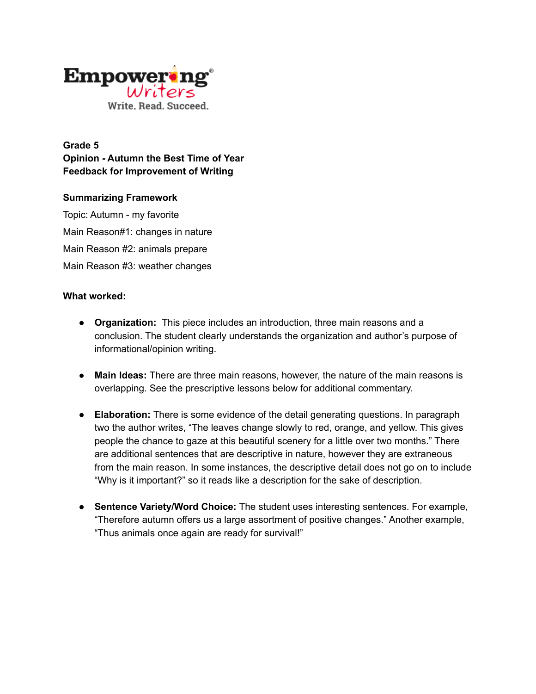

**Grade 5 Opinion - Autumn the Best Time of Year Feedback for Improvement of Writing**

## **Summarizing Framework**

Topic: Autumn - my favorite Main Reason#1: changes in nature Main Reason #2: animals prepare Main Reason #3: weather changes

## **What worked:**

- **Organization:** This piece includes an introduction, three main reasons and a conclusion. The student clearly understands the organization and author's purpose of informational/opinion writing.
- **Main Ideas:** There are three main reasons, however, the nature of the main reasons is overlapping. See the prescriptive lessons below for additional commentary.
- **Elaboration:** There is some evidence of the detail generating questions. In paragraph two the author writes, "The leaves change slowly to red, orange, and yellow. This gives people the chance to gaze at this beautiful scenery for a little over two months." There are additional sentences that are descriptive in nature, however they are extraneous from the main reason. In some instances, the descriptive detail does not go on to include "Why is it important?" so it reads like a description for the sake of description.
- **Sentence Variety/Word Choice:** The student uses interesting sentences. For example, "Therefore autumn offers us a large assortment of positive changes." Another example, "Thus animals once again are ready for survival!"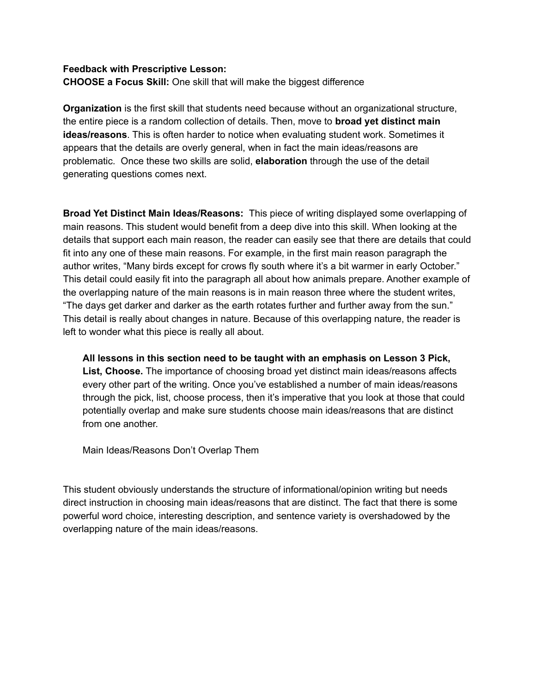## **Feedback with Prescriptive Lesson:**

**CHOOSE a Focus Skill:** One skill that will make the biggest difference

**Organization** is the first skill that students need because without an organizational structure, the entire piece is a random collection of details. Then, move to **broad yet distinct main ideas/reasons**. This is often harder to notice when evaluating student work. Sometimes it appears that the details are overly general, when in fact the main ideas/reasons are problematic. Once these two skills are solid, **elaboration** through the use of the detail generating questions comes next.

**Broad Yet Distinct Main Ideas/Reasons:** This piece of writing displayed some overlapping of main reasons. This student would benefit from a deep dive into this skill. When looking at the details that support each main reason, the reader can easily see that there are details that could fit into any one of these main reasons. For example, in the first main reason paragraph the author writes, "Many birds except for crows fly south where it's a bit warmer in early October." This detail could easily fit into the paragraph all about how animals prepare. Another example of the overlapping nature of the main reasons is in main reason three where the student writes, "The days get darker and darker as the earth rotates further and further away from the sun." This detail is really about changes in nature. Because of this overlapping nature, the reader is left to wonder what this piece is really all about.

**All lessons in this section need to be taught with an emphasis on Lesson 3 Pick, List, Choose.** The importance of choosing broad yet distinct main ideas/reasons affects every other part of the writing. Once you've established a number of main ideas/reasons through the pick, list, choose process, then it's imperative that you look at those that could potentially overlap and make sure students choose main ideas/reasons that are distinct from one another.

Main Ideas/Reasons Don't Overlap Them

This student obviously understands the structure of informational/opinion writing but needs direct instruction in choosing main ideas/reasons that are distinct. The fact that there is some powerful word choice, interesting description, and sentence variety is overshadowed by the overlapping nature of the main ideas/reasons.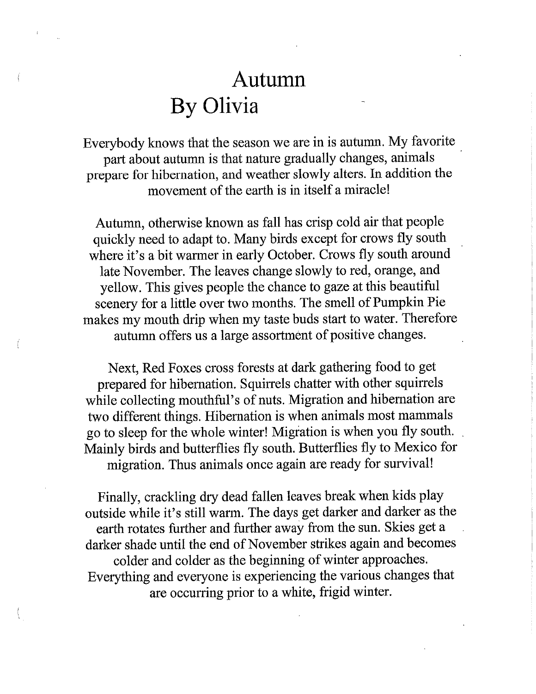## Autumn By Olivia

Everybody knows that the season we are in is autumn. My favorite part about autumn is that nature gradually changes, animals prepare for hibernation, and weather slowly alters. In addition the movement of the earth is in itself a miracle!

Autumn, otherwise known as fall has crisp cold air that people quickly need to adapt to. Many birds except for crows fly south where it's a bit warmer in early October. Crows fly south around late November. The leaves change slowly to red, orange, and yellow. This gives people the chance to gaze at this beautiful scenery for a little over two months. The smell of Pumpkin Pie makes my mouth drip when my taste buds start to water. Therefore autumn offers us a large assortment of positive changes.

Next, Red Foxes cross forests at dark gathering food to get prepared for hibernation. Squirrels chatter with other squirrels while collecting mouthful's of nuts. Migration and hibernation are two different things. Hibernation is when animals most mammals go to sleep for the whole winter! Migration is when you fly south. Mainly birds and butterflies fly south. Butterflies fly to Mexico for migration. Thus animals once again are ready for survival!

Finally, crackling dry dead fallen leaves break when kids play outside while it's still warm. The days get darker and darker as the earth rotates further and further away from the sun. Skies get a darker shade until the end of November strikes again and becomes colder and colder as the beginning of winter approaches. Everything and everyone is experiencing the various changes that are occurring prior to a white, frigid winter.